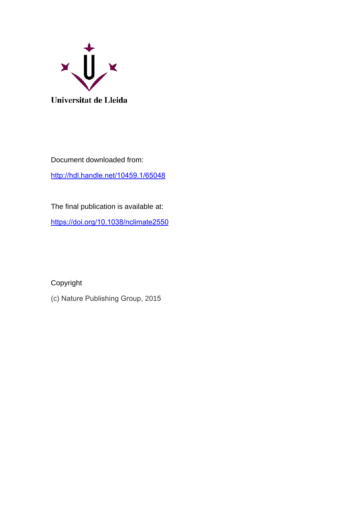

Document downloaded from: <http://hdl.handle.net/10459.1/65048>

The final publication is available at: <https://doi.org/10.1038/nclimate2550>

Copyright

(c) Nature Publishing Group, 2015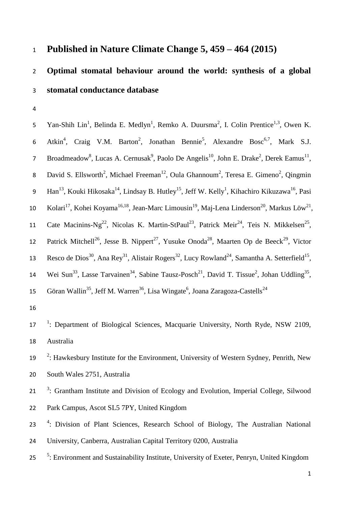## <sup>1</sup> **Published in Nature Climate Change 5, 459 – 464 (2015)**

# 2 **Optimal stomatal behaviour around the world: synthesis of a global**  3 **stomatal conductance database**

4

5 Yan-Shih Lin<sup>1</sup>, Belinda E. Medlyn<sup>1</sup>, Remko A. Duursma<sup>2</sup>, I. Colin Prentice<sup>1,3</sup>, Owen K. 6 Atkin<sup>4</sup>, Craig V.M. Barton<sup>2</sup>, Jonathan Bennie<sup>5</sup>, Alexandre Bosc<sup>6,7</sup>, Mark S.J. 7 Broadmeadow<sup>8</sup>, Lucas A. Cernusak<sup>9</sup>, Paolo De Angelis<sup>10</sup>, John E. Drake<sup>2</sup>, Derek Eamus<sup>11</sup>, 8 David S. Ellsworth<sup>2</sup>, Michael Freeman<sup>12</sup>, Oula Ghannoum<sup>2</sup>, Teresa E. Gimeno<sup>2</sup>, Qingmin 9 Han<sup>13</sup>, Kouki Hikosaka<sup>14</sup>, Lindsay B. Hutley<sup>15</sup>, Jeff W. Kelly<sup>1</sup>, Kihachiro Kikuzawa<sup>16</sup>, Pasi 10 Kolari<sup>17</sup>, Kohei Koyama<sup>16,18</sup>, Jean-Marc Limousin<sup>19</sup>, Maj-Lena Linderson<sup>20</sup>, Markus Löw<sup>21</sup>, 11 Cate Macinins-Ng<sup>22</sup>, Nicolas K. Martin-StPaul<sup>23</sup>, Patrick Meir<sup>24</sup>, Teis N. Mikkelsen<sup>25</sup>, 12 Patrick Mitchell<sup>26</sup>, Jesse B. Nippert<sup>27</sup>, Yusuke Onoda<sup>28</sup>, Maarten Op de Beeck<sup>29</sup>, Victor 13 Resco de Dios<sup>30</sup>, Ana Rey<sup>31</sup>, Alistair Rogers<sup>32</sup>, Lucy Rowland<sup>24</sup>, Samantha A. Setterfield<sup>15</sup>, 14 Wei Sun<sup>33</sup>, Lasse Tarvainen<sup>34</sup>, Sabine Tausz-Posch<sup>21</sup>, David T. Tissue<sup>2</sup>, Johan Uddling<sup>35</sup>, Göran Wallin<sup>35</sup>, Jeff M. Warren<sup>36</sup>, Lisa Wingate<sup>6</sup>, Joana Zaragoza-Castells<sup>24</sup> 15

16

17<sup>1</sup>: Department of Biological Sciences, Macquarie University, North Ryde, NSW 2109, 18 Australia

- 19 <sup>2</sup>: Hawkesbury Institute for the Environment, University of Western Sydney, Penrith, New 20 South Wales 2751, Australia
- <sup>3</sup>: Grantham Institute and Division of Ecology and Evolution, Imperial College, Silwood 22 Park Campus, Ascot SL5 7PY, United Kingdom
- 23<sup>4</sup>: Division of Plant Sciences, Research School of Biology, The Australian National 24 University, Canberra, Australian Capital Territory 0200, Australia
- <sup>5</sup>: Environment and Sustainability Institute, University of Exeter, Penryn, United Kingdom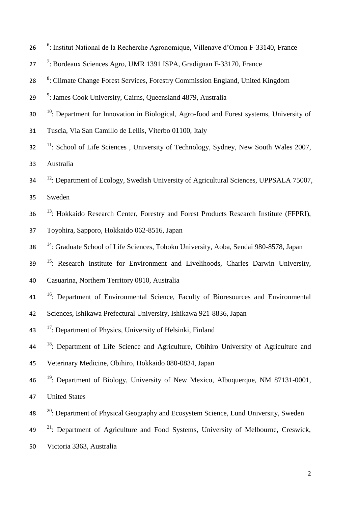- 26 <sup>6</sup>: Institut National de la Recherche Agronomique, Villenave d'Ornon F-33140, France
- 27 <sup>7</sup>: Bordeaux Sciences Agro, UMR 1391 ISPA, Gradignan F-33170, France
- 28 <sup>8</sup>: Climate Change Forest Services, Forestry Commission England, United Kingdom
- 29 <sup>9</sup>: James Cook University, Cairns, Queensland 4879, Australia
- <sup>10</sup>: Department for Innovation in Biological, Agro-food and Forest systems, University of
- 31 Tuscia, Via San Camillo de Lellis, Viterbo 01100, Italy
- $11$ : School of Life Sciences, University of Technology, Sydney, New South Wales 2007, 33 Australia
- <sup>12</sup>: Department of Ecology, Swedish University of Agricultural Sciences, UPPSALA 75007,
- 35 Sweden
- 36 <sup>13</sup>: Hokkaido Research Center, Forestry and Forest Products Research Institute (FFPRI),
- 37 Toyohira, Sapporo, Hokkaido 062-8516, Japan
- <sup>14</sup>: Graduate School of Life Sciences, Tohoku University, Aoba, Sendai 980-8578, Japan
- <sup>15</sup>: Research Institute for Environment and Livelihoods, Charles Darwin University,
- 40 Casuarina, Northern Territory 0810, Australia
- <sup>16</sup>: Department of Environmental Science, Faculty of Bioresources and Environmental
- 42 Sciences, Ishikawa Prefectural University, Ishikawa 921-8836, Japan
- 43 <sup>17</sup>: Department of Physics, University of Helsinki, Finland
- <sup>18</sup>: Department of Life Science and Agriculture, Obihiro University of Agriculture and
- 45 Veterinary Medicine, Obihiro, Hokkaido 080-0834, Japan
- <sup>19</sup>: Department of Biology, University of New Mexico, Albuquerque, NM 87131-0001,

47 United States

- <sup>20</sup>: Department of Physical Geography and Ecosystem Science, Lund University, Sweden
- $2^{1}$ : Department of Agriculture and Food Systems, University of Melbourne, Creswick,
- 50 Victoria 3363, Australia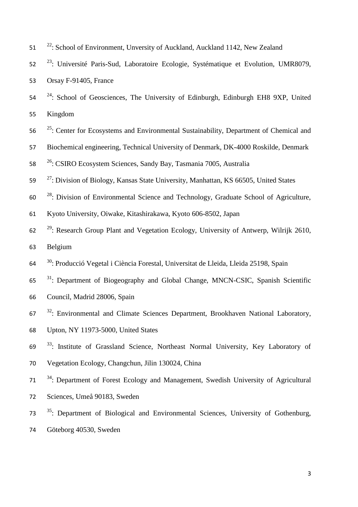- <sup>22</sup>: School of Environment, Unversity of Auckland, Auckland 1142, New Zealand
- <sup>23</sup>: Université Paris-Sud, Laboratoire Ecologie, Systématique et Evolution, UMR8079, Orsay F-91405, France
- <sup>24</sup> : School of Geosciences, The University of Edinburgh, Edinburgh EH8 9XP, United Kingdom
- 56 <sup>25</sup>: Center for Ecosystems and Environmental Sustainability, Department of Chemical and
- Biochemical engineering, Technical University of Denmark, DK-4000 Roskilde, Denmark
- <sup>26</sup> : CSIRO Ecosystem Sciences, Sandy Bay, Tasmania 7005, Australia
- <sup>27</sup>: Division of Biology, Kansas State University, Manhattan, KS 66505, United States
- $2^8$ : Division of Environmental Science and Technology, Graduate School of Agriculture,
- Kyoto University, Oiwake, Kitashirakawa, Kyoto 606-8502, Japan
- $2^{29}$ : Research Group Plant and Vegetation Ecology, University of Antwerp, Wilrijk 2610, Belgium
- <sup>30</sup> : Producció Vegetal i Ciència Forestal, Universitat de Lleida, Lleida 25198, Spain
- $31$ : Department of Biogeography and Global Change, MNCN-CSIC, Spanish Scientific
- Council, Madrid 28006, Spain
- <sup>32</sup>: Environmental and Climate Sciences Department, Brookhaven National Laboratory,
- Upton, NY 11973-5000, United States
- <sup>33</sup>: Institute of Grassland Science, Northeast Normal University, Key Laboratory of
- Vegetation Ecology, Changchun, Jilin 130024, China
- <sup>34</sup>: Department of Forest Ecology and Management, Swedish University of Agricultural Sciences, Umeå 90183, Sweden
- <sup>35</sup> : Department of Biological and Environmental Sciences, University of Gothenburg,
- Göteborg 40530, Sweden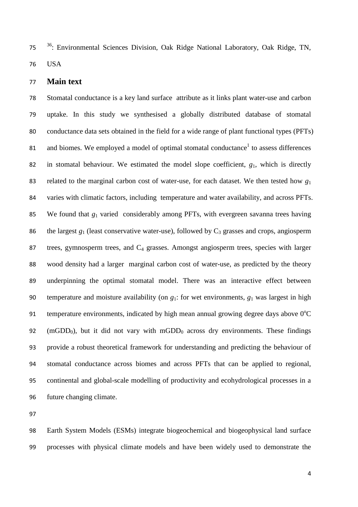<sup>36</sup> : Environmental Sciences Division, Oak Ridge National Laboratory, Oak Ridge, TN, USA

#### **Main text**

 Stomatal conductance is a key land surface attribute as it links plant water-use and carbon uptake. In this study we synthesised a globally distributed database of stomatal conductance data sets obtained in the field for a wide range of plant functional types (PFTs) [1](#page-13-0) and biomes. We employed a model of optimal stomatal conductance<sup>1</sup> to assess differences in stomatal behaviour. We estimated the model slope coefficient, *g*1, which is directly related to the marginal carbon cost of water-use, for each dataset. We then tested how *g*<sup>1</sup> varies with climatic factors, including temperature and water availability, and across PFTs. We found that *g*<sup>1</sup> varied considerably among PFTs, with evergreen savanna trees having 86 the largest  $g_1$  (least conservative water-use), followed by  $C_3$  grasses and crops, angiosperm 87 trees, gymnosperm trees, and C<sub>4</sub> grasses. Amongst angiosperm trees, species with larger wood density had a larger marginal carbon cost of water-use, as predicted by the theory underpinning the optimal stomatal model. There was an interactive effect between temperature and moisture availability (on *g*1: for wet environments, *g*<sup>1</sup> was largest in high 91 temperature environments, indicated by high mean annual growing degree days above  $0^{\circ}$ C 92 (mGDD<sub>0</sub>), but it did not vary with mGDD<sub>0</sub> across dry environments. These findings provide a robust theoretical framework for understanding and predicting the behaviour of stomatal conductance across biomes and across PFTs that can be applied to regional, continental and global-scale modelling of productivity and ecohydrological processes in a future changing climate.

 Earth System Models (ESMs) integrate biogeochemical and biogeophysical land surface processes with physical climate models and have been widely used to demonstrate the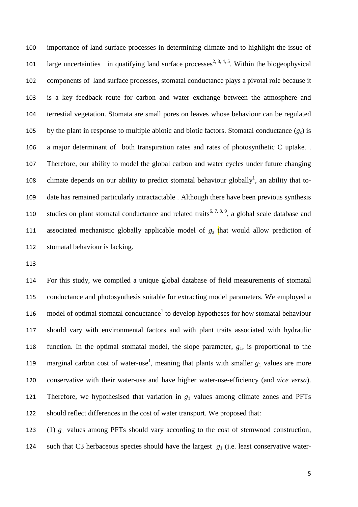importance of land surface processes in determining climate and to highlight the issue of 101 large uncertainties in quatifying land surface processes<sup>[2,](#page-13-1) [3,](#page-13-2) [4,](#page-13-3) [5](#page-13-4)</sup>. Within the biogeophysical components of land surface processes, stomatal conductance plays a pivotal role because it is a key feedback route for carbon and water exchange between the atmosphere and terrestial vegetation. Stomata are small pores on leaves whose behaviour can be regulated 105 by the plant in response to multiple abiotic and biotic factors. Stomatal conductance  $(g_s)$  is a major determinant of both transpiration rates and rates of photosynthetic C uptake. . Therefore, our ability to model the global carbon and water cycles under future changing 108 climate depends on our abilit[y](#page-13-0) to predict stomatal behaviour globally<sup>1</sup>, an ability that to- date has remained particularly intractactable . Although there have been previous synthesis 110 studies on plant stomatal conductance and related traits<sup>[6,](#page-13-5) [7,](#page-13-6) [8,](#page-13-7) [9](#page-13-8)</sup>, a global scale database and associated mechanistic globally applicable model of *g<sup>s</sup>* that would allow prediction of stomatal behaviour is lacking.

 For this study, we compiled a unique global database of field measurements of stomatal conductance and photosynthesis suitable for extracting model parameters. We employed a 116 mod[e](#page-13-0)l of optimal stomatal conductance<sup>1</sup> to develop hypotheses for how stomatal behaviour should vary with environmental factors and with plant traits associated with hydraulic function. In the optimal stomatal model, the slope parameter, *g*1, is proportional to the 119 marginal carbon cost of wat[e](#page-13-0)r-use<sup>1</sup>, meaning that plants with smaller  $g_1$  values are more conservative with their water-use and have higher water-use-efficiency (and *vice versa*). 121 Therefore, we hypothesised that variation in  $g_1$  values among climate zones and PFTs should reflect differences in the cost of water transport. We proposed that:

 (1) *g*<sup>1</sup> values among PFTs should vary according to the cost of stemwood construction, 124 such that C3 herbaceous species should have the largest  $g_1$  (i.e. least conservative water-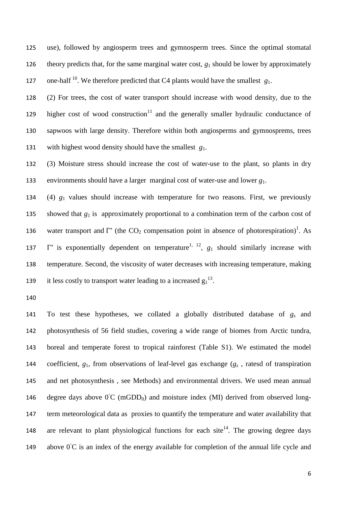use), followed by angiosperm trees and gymnosperm trees. Since the optimal stomatal 126 theory predicts that, for the same marginal water cost,  $g_1$  should be lower by approximately 127 one-half <sup>[10](#page-13-9)</sup>. We therefore predicted that C4 plants would have the smallest  $g_1$ .

 (2) For trees, the cost of water transport should increase with wood density, due to the higher cost of wood construction<sup>[11](#page-13-10)</sup> and the generally smaller hydraulic conductance of sapwoos with large density. Therefore within both angiosperms and gymnosprems, trees with highest wood density should have the smallest *g*1.

 (3) Moisture stress should increase the cost of water-use to the plant, so plants in dry environments should have a larger marginal cost of water-use and lower *g*1.

 (4) *g*<sup>1</sup> values should increase with temperature for two reasons. First, we previously 135 showed that  $g_1$  is approximately proportional to a combination term of the carbon cost of 136 water transport and  $\Gamma^*$  (the CO<sub>2</sub> compensation point in absence of photorespiration[\)](#page-13-0)<sup>1</sup>. As  $\Gamma^*$  is exponentially dependent on temperature<sup>[1,](#page-13-0) [12](#page-14-0)</sup>,  $g_1$  should similarly increase with temperature. Second, the viscosity of water decreases with increasing temperature, making 9 it less costly to transport water leading to a increased  $g_1^{13}$ .

 To test these hypotheses, we collated a globally distributed database of *g<sup>s</sup>* and photosynthesis of 56 field studies, covering a wide range of biomes from Arctic tundra, boreal and temperate forest to tropical rainforest (Table S1). We estimated the model coefficient, *g*1, from observations of leaf-level gas exchange (*g<sup>s</sup>* , ratesd of transpiration and net photosynthesis , see Methods) and environmental drivers. We used mean annual 146 degree days above  $0^{\circ}$ C (mGDD<sub>0</sub>) and moisture index (MI) derived from observed long- term meteorological data as proxies to quantify the temperature and water availability that 8 are relevant to plant physiological functions for each site<sup>14</sup>. The growing degree days 149 above  $0^{\circ}$ C is an index of the energy available for completion of the annual life cycle and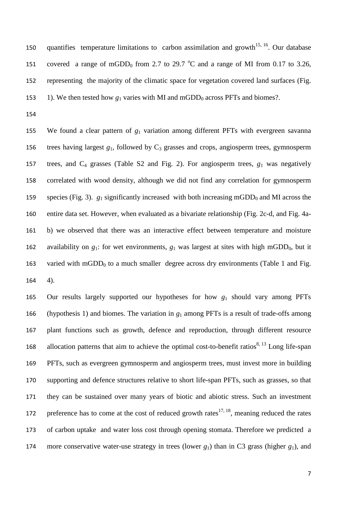150 quantifies temperature limitations to carbon assimilation and growth<sup>[15,](#page-14-3) [16](#page-14-4)</sup>. Our database 151 covered a range of mGDD<sub>0</sub> from 2.7 to 29.7  $^{\circ}$ C and a range of MI from 0.17 to 3.26, 152 representing the majority of the climatic space for vegetation covered land surfaces (Fig. 153 1). We then tested how  $g_1$  varies with MI and mGDD<sub>0</sub> across PFTs and biomes?.

154

155 We found a clear pattern of *g*<sup>1</sup> variation among different PFTs with evergreen savanna 156 trees having largest  $g_1$ , followed by  $C_3$  grasses and crops, angiosperm trees, gymnosperm 157 trees, and  $C_4$  grasses (Table S2 and Fig. 2). For angiosperm trees,  $g_1$  was negatively 158 correlated with wood density, although we did not find any correlation for gymnosperm 159 species (Fig. 3).  $g_1$  significantly increased with both increasing mGDD<sub>0</sub> and MI across the 160 entire data set. However, when evaluated as a bivariate relationship (Fig. 2c-d, and Fig. 4a-161 b) we observed that there was an interactive effect between temperature and moisture 162 availability on  $g_1$ : for wet environments,  $g_1$  was largest at sites with high mGDD<sub>0</sub>, but it 163 varied with mGDD<sub>0</sub> to a much smaller degree across dry environments (Table 1 and Fig. 164 4).

165 Our results largely supported our hypotheses for how *g*<sup>1</sup> should vary among PFTs 166 (hypothesis 1) and biomes. The variation in  $g_1$  among PFTs is a result of trade-offs among 167 plant functions such as growth, defence and reproduction, through different resource 168 allocation patterns that aim to achieve the optimal cost-to-benefit ratios<sup>[8,](#page-13-7) [13](#page-14-1)</sup> Long life-span 169 PFTs, such as evergreen gymnosperm and angiosperm trees, must invest more in building 170 supporting and defence structures relative to short life-span PFTs, such as grasses, so that 171 they can be sustained over many years of biotic and abiotic stress. Such an investment 172 preference has to come at the cost of reduced growth rates<sup>[17,](#page-14-5) [18](#page-14-6)</sup>, meaning reduced the rates 173 of carbon uptake and water loss cost through opening stomata. Therefore we predicted a 174 more conservative water-use strategy in trees (lower  $g_1$ ) than in C3 grass (higher  $g_1$ ), and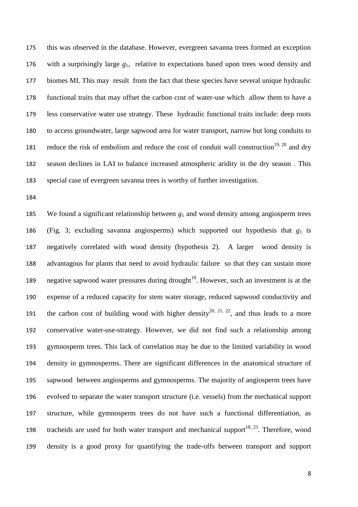this was observed in the database. However, evergreen savanna trees formed an exception with a surprisingly large *g*1, relative to expectations based upon trees wood density and biomes MI. This may result from the fact that these species have several unique hydraulic functional traits that may offset the carbon cost of water-use which allow them to have a less conservative water use strategy. These hydraulic functional traits include: deep roots to access groundwater, large sapwood area for water transport, narrow but long conduits to 181 reduce the risk of embolism and reduce the cost of conduit wall construction<sup>[19,](#page-14-7) [20](#page-14-8)</sup> and dry season declines in LAI to balance increased atmospheric aridity in the dry season . This special case of evergreen savanna trees is worthy of further investigation.

 We found a significant relationship between *g*<sup>1</sup> and wood density among angiosperm trees 186 (Fig. 3; excluding savanna angiosperms) which supported our hypothesis that  $g_1$  is negatively correlated with wood density (hypothesis 2). A larger wood density is advantagous for plants that need to avoid hydraulic failure so that they can sustain more 9 negative sapwood water pressures during drought<sup>18</sup>. However, such an investment is at the expense of a reduced capacity for stem water storage, reduced sapwood conductivity and 191 the carbon cost of building wood with higher density<sup>[20,](#page-14-8) [21,](#page-14-9) [22](#page-14-10)</sup>, and thus leads to a more conservative water-use-strategy. However, we did not find such a relationship among gymnosperm trees. This lack of correlation may be due to the limited variability in wood density in gymnosperms. There are significant differences in the anatomical structure of sapwood between angiosperms and gymnosperms. The majority of angiosperm trees have evolved to separate the water transport structure (i.e. vessels) from the mechanical support structure, while gymnosperm trees do not have such a functional differentiation, as 198 tracheids are used for both water transport and mechanical support<sup>[18,](#page-14-6) [23](#page-14-11)</sup>. Therefore, wood density is a good proxy for quantifying the trade-offs between transport and support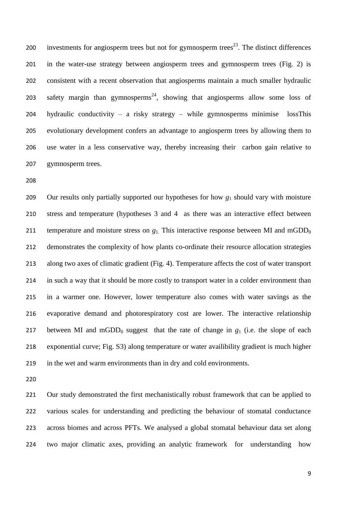200 investments for angiosperm trees but not for gymnosperm trees<sup>[23](#page-14-11)</sup>. The distinct differences in the water-use strategy between angiosperm trees and gymnosperm trees (Fig. 2) is consistent with a recent observation that angiosperms maintain a much smaller hydraulic 203 safety margin than gymnosperms<sup>[24](#page-14-12)</sup>, showing that angiosperms allow some loss of hydraulic conductivity – a risky strategy – while gymnosperms minimise lossThis evolutionary development confers an advantage to angiosperm trees by allowing them to use water in a less conservative way, thereby increasing their carbon gain relative to gymnosperm trees.

 Our results only partially supported our hypotheses for how *g*<sup>1</sup> should vary with moisture stress and temperature (hypotheses 3 and 4 as there was an interactive effect between 211 temperature and moisture stress on  $g_1$ . This interactive response between MI and mGDD<sub>0</sub> demonstrates the complexity of how plants co-ordinate their resource allocation strategies along two axes of climatic gradient (Fig. 4). Temperature affects the cost of water transport in such a way that it should be more costly to transport water in a colder environment than in a warmer one. However, lower temperature also comes with water savings as the evaporative demand and photorespiratory cost are lower. The interactive relationship 217 between MI and mGDD<sub>0</sub> suggest that the rate of change in  $g_1$  (i.e. the slope of each exponential curve; Fig. S3) along temperature or water availibility gradient is much higher in the wet and warm environments than in dry and cold environments.

 Our study demonstrated the first mechanistically robust framework that can be applied to various scales for understanding and predicting the behaviour of stomatal conductance across biomes and across PFTs. We analysed a global stomatal behaviour data set along two major climatic axes, providing an analytic framework for understanding how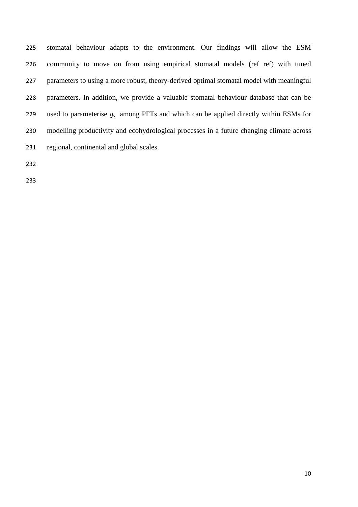stomatal behaviour adapts to the environment. Our findings will allow the ESM community to move on from using empirical stomatal models (ref ref) with tuned parameters to using a more robust, theory-derived optimal stomatal model with meaningful parameters. In addition, we provide a valuable stomatal behaviour database that can be used to parameterise *g<sup>s</sup>* among PFTs and which can be applied directly within ESMs for modelling productivity and ecohydrological processes in a future changing climate across regional, continental and global scales.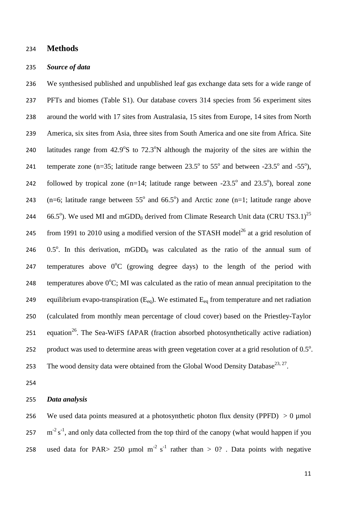#### 234 **Methods**

#### 235 *Source of data*

236 We synthesised published and unpublished leaf gas exchange data sets for a wide range of 237 PFTs and biomes (Table S1). Our database covers 314 species from 56 experiment sites 238 around the world with 17 sites from Australasia, 15 sites from Europe, 14 sites from North 239 America, six sites from Asia, three sites from South America and one site from Africa. Site 240 latitudes range from  $42.9^{\circ}$ S to  $72.3^{\circ}$ N although the majority of the sites are within the 241 temperate zone (n=35; latitude range between  $23.5^{\circ}$  to  $55^{\circ}$  and between -23.5° and -55°), 242 followed by tropical zone  $(n=14;$  latitude range between  $-23.5^{\circ}$  and  $23.5^{\circ}$ ), boreal zone 243 (n=6; latitude range between  $55^{\circ}$  and  $66.5^{\circ}$ ) and Arctic zone (n=1; latitude range above 244 66.5°). We used MI and mGDD<sub>0</sub> derived from Climate Research Unit data (CRU TS3.1)<sup>[25](#page-15-0)</sup> 245 from 1991 to 2010 using a modified version of the STASH model<sup>[26](#page-15-1)</sup> at a grid resolution of 246  $0.5^\circ$ . In this derivation, mGDD<sub>0</sub> was calculated as the ratio of the annual sum of 247 temperatures above  $0^{\circ}C$  (growing degree days) to the length of the period with 248 temperatures above  $0^{\circ}$ C; MI was calculated as the ratio of mean annual precipitation to the 249 equilibrium evapo-transpiration  $(E_{eq})$ . We estimated  $E_{eq}$  from temperature and net radiation 250 (calculated from monthly mean percentage of cloud cover) based on the Priestley-Taylor 251 equation<sup>[26](#page-15-1)</sup>[.](#page-15-1) The Sea-WiFS fAPAR (fraction absorbed photosynthetically active radiation) 252 product was used to determine areas with green vegetation cover at a grid resolution of  $0.5^\circ$ . 253 The wood density data were obtained from the Global Wood Density Database<sup>[23,](#page-14-11) [27](#page-15-2)</sup>.

254

#### 255 *Data analysis*

256 We used data points measured at a photosynthetic photon flux density (PPFD)  $> 0 \mu$ mol  $257 \text{ m}^{-2} \text{ s}^{-1}$ , and only data collected from the top third of the canopy (what would happen if you 258 used data for PAR> 250 µmol m<sup>-2</sup> s<sup>-1</sup> rather than > 0? . Data points with negative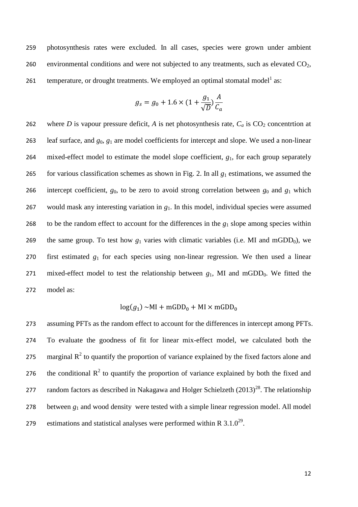259 photosynthesis rates were excluded. In all cases, species were grown under ambient 260 environmental conditions and were not subjected to any treatments, such as elevated  $CO<sub>2</sub>$ , 26[1](#page-13-0) temperature, or drought treatments. We employed an optimal stomatal model  $^1$  as:

$$
g_s = g_0 + 1.6 \times \left(1 + \frac{g_1}{\sqrt{D}}\right) \frac{A}{C_a}
$$

262 where *D* is vapour pressure deficit, *A* is net photosynthesis rate,  $C_a$  is  $CO_2$  concentrtion at 263 leaf surface, and *g*0, *g*<sup>1</sup> are model coefficients for intercept and slope. We used a non-linear 264 mixed-effect model to estimate the model slope coefficient, *g*1, for each group separately 265 for various classification schemes as shown in Fig. 2. In all  $g_1$  estimations, we assumed the 266 intercept coefficient,  $g_0$ , to be zero to avoid strong correlation between  $g_0$  and  $g_1$  which 267 would mask any interesting variation in *g*1. In this model, individual species were assumed 268 to be the random effect to account for the differences in the *g*<sup>1</sup> slope among species within 269 the same group. To test how  $g_1$  varies with climatic variables (i.e. MI and mGDD<sub>0</sub>), we 270 first estimated *g*<sup>1</sup> for each species using non-linear regression. We then used a linear 271 mixed-effect model to test the relationship between  $g_1$ , MI and mGDD<sub>0</sub>. We fitted the 272 model as:

$$
\log(g_1) \sim \text{MI} + \text{mGDD}_0 + \text{MI} \times \text{mGDD}_0
$$

273 assuming PFTs as the random effect to account for the differences in intercept among PFTs. 274 To evaluate the goodness of fit for linear mix-effect model, we calculated both the 275 marginal  $R^2$  to quantify the proportion of variance explained by the fixed factors alone and 276 the conditional  $R^2$  to quantify the proportion of variance explained by both the fixed and 277 random factors as described in Nakagawa and Holger Schielzeth  $(2013)^{28}$  $(2013)^{28}$  $(2013)^{28}$ . The relationship 278 between *g*<sup>1</sup> and wood density were tested with a simple linear regression model. All model 279 estimations and statistical analyses were performed within R  $3.1.0^{29}$  $3.1.0^{29}$  $3.1.0^{29}$ .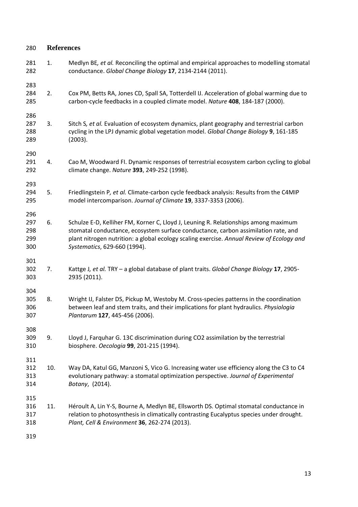<span id="page-13-10"></span><span id="page-13-9"></span><span id="page-13-8"></span><span id="page-13-7"></span><span id="page-13-6"></span><span id="page-13-5"></span><span id="page-13-4"></span><span id="page-13-3"></span><span id="page-13-2"></span><span id="page-13-1"></span><span id="page-13-0"></span>

| 280                             | <b>References</b> |                                                                                                                                                                                                                                                                                                        |  |  |  |
|---------------------------------|-------------------|--------------------------------------------------------------------------------------------------------------------------------------------------------------------------------------------------------------------------------------------------------------------------------------------------------|--|--|--|
| 281<br>282                      | 1.                | Medlyn BE, et al. Reconciling the optimal and empirical approaches to modelling stomatal<br>conductance. Global Change Biology 17, 2134-2144 (2011).                                                                                                                                                   |  |  |  |
| 283<br>284<br>285               | 2.                | Cox PM, Betts RA, Jones CD, Spall SA, Totterdell IJ. Acceleration of global warming due to<br>carbon-cycle feedbacks in a coupled climate model. Nature 408, 184-187 (2000).                                                                                                                           |  |  |  |
| 286<br>287<br>288<br>289        | 3.                | Sitch S, et al. Evaluation of ecosystem dynamics, plant geography and terrestrial carbon<br>cycling in the LPJ dynamic global vegetation model. Global Change Biology 9, 161-185<br>(2003).                                                                                                            |  |  |  |
| 290<br>291<br>292               | 4.                | Cao M, Woodward FI. Dynamic responses of terrestrial ecosystem carbon cycling to global<br>climate change. Nature 393, 249-252 (1998).                                                                                                                                                                 |  |  |  |
| 293<br>294<br>295               | 5.                | Friedlingstein P, et al. Climate-carbon cycle feedback analysis: Results from the C4MIP<br>model intercomparison. Journal of Climate 19, 3337-3353 (2006).                                                                                                                                             |  |  |  |
| 296<br>297<br>298<br>299<br>300 | 6.                | Schulze E-D, Kelliher FM, Korner C, Lloyd J, Leuning R. Relationships among maximum<br>stomatal conductance, ecosystem surface conductance, carbon assimilation rate, and<br>plant nitrogen nutrition: a global ecology scaling exercise. Annual Review of Ecology and<br>Systematics, 629-660 (1994). |  |  |  |
| 301<br>302<br>303               | 7.                | Kattge J, et al. TRY - a global database of plant traits. Global Change Biology 17, 2905-<br>2935 (2011).                                                                                                                                                                                              |  |  |  |
| 304<br>305<br>306<br>307        | 8.                | Wright IJ, Falster DS, Pickup M, Westoby M. Cross-species patterns in the coordination<br>between leaf and stem traits, and their implications for plant hydraulics. Physiologia<br>Plantarum 127, 445-456 (2006).                                                                                     |  |  |  |
| 308<br>309<br>310               | 9.                | Lloyd J, Farquhar G. 13C discrimination during CO2 assimilation by the terrestrial<br>biosphere. Oecologia 99, 201-215 (1994).                                                                                                                                                                         |  |  |  |
| 311<br>312<br>313<br>314        | 10.               | Way DA, Katul GG, Manzoni S, Vico G. Increasing water use efficiency along the C3 to C4<br>evolutionary pathway: a stomatal optimization perspective. Journal of Experimental<br>Botany, (2014).                                                                                                       |  |  |  |
| 315<br>316<br>317<br>318        | 11.               | Héroult A, Lin Y-S, Bourne A, Medlyn BE, Ellsworth DS. Optimal stomatal conductance in<br>relation to photosynthesis in climatically contrasting Eucalyptus species under drought.<br>Plant, Cell & Environment 36, 262-274 (2013).                                                                    |  |  |  |
|                                 |                   |                                                                                                                                                                                                                                                                                                        |  |  |  |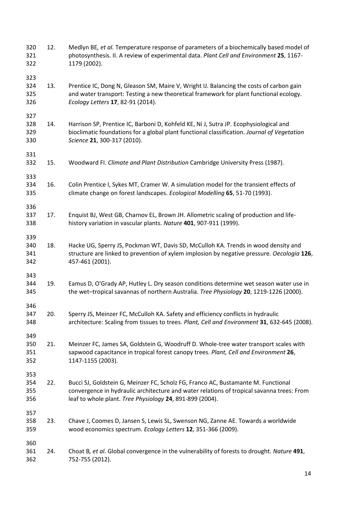- <span id="page-14-0"></span> 12. Medlyn BE*, et al.* Temperature response of parameters of a biochemically based model of photosynthesis. II. A review of experimental data. *Plant Cell and Environment* **25**, 1167- 1179 (2002).
- <span id="page-14-1"></span> 13. Prentice IC, Dong N, Gleason SM, Maire V, Wright IJ. Balancing the costs of carbon gain and water transport: Testing a new theoretical framework for plant functional ecology. *Ecology Letters* **17**, 82-91 (2014).

- <span id="page-14-2"></span> 14. Harrison SP, Prentice IC, Barboni D, Kohfeld KE, Ni J, Sutra JP. Ecophysiological and bioclimatic foundations for a global plant functional classification. *Journal of Vegetation Science* **21**, 300-317 (2010).
- <span id="page-14-3"></span>15. Woodward FI. *Climate and Plant Distribution* Cambridge University Press (1987).
- <span id="page-14-4"></span> 16. Colin Prentice I, Sykes MT, Cramer W. A simulation model for the transient effects of climate change on forest landscapes. *Ecological Modelling* **65**, 51-70 (1993).
- <span id="page-14-5"></span> 17. Enquist BJ, West GB, Charnov EL, Brown JH. Allometric scaling of production and life-history variation in vascular plants. *Nature* **401**, 907-911 (1999).
- <span id="page-14-6"></span> 18. Hacke UG, Sperry JS, Pockman WT, Davis SD, McCulloh KA. Trends in wood density and structure are linked to prevention of xylem implosion by negative pressure. *Oecologia* **126**, 457-461 (2001).
- <span id="page-14-7"></span> 19. Eamus D, O'Grady AP, Hutley L. Dry season conditions determine wet season water use in the wet–tropical savannas of northern Australia. *Tree Physiology* **20**, 1219-1226 (2000).
- <span id="page-14-8"></span> 20. Sperry JS, Meinzer FC, McCulloh KA. Safety and efficiency conflicts in hydraulic architecture: Scaling from tissues to trees. *Plant, Cell and Environment* **31**, 632-645 (2008).
- <span id="page-14-9"></span> 21. Meinzer FC, James SA, Goldstein G, Woodruff D. Whole-tree water transport scales with sapwood capacitance in tropical forest canopy trees. *Plant, Cell and Environment* **26**, 1147-1155 (2003).
- <span id="page-14-10"></span> 22. Bucci SJ, Goldstein G, Meinzer FC, Scholz FG, Franco AC, Bustamante M. Functional convergence in hydraulic architecture and water relations of tropical savanna trees: From leaf to whole plant. *Tree Physiology* **24**, 891-899 (2004).
- <span id="page-14-11"></span> 23. Chave J, Coomes D, Jansen S, Lewis SL, Swenson NG, Zanne AE. Towards a worldwide wood economics spectrum. *Ecology Letters* **12**, 351-366 (2009).
- <span id="page-14-12"></span> 24. Choat B*, et al.* Global convergence in the vulnerability of forests to drought. *Nature* **491**, 752-755 (2012).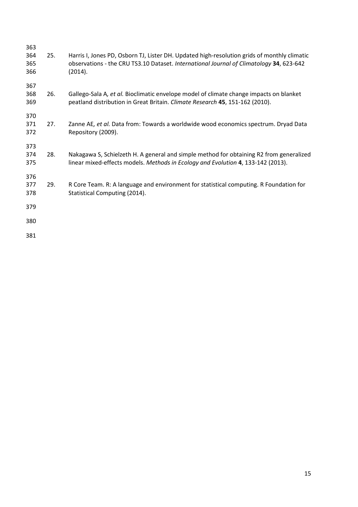<span id="page-15-4"></span><span id="page-15-3"></span><span id="page-15-2"></span><span id="page-15-1"></span><span id="page-15-0"></span>

| 363               |     |                                                                                                                                                                                                   |
|-------------------|-----|---------------------------------------------------------------------------------------------------------------------------------------------------------------------------------------------------|
| 364<br>365<br>366 | 25. | Harris I, Jones PD, Osborn TJ, Lister DH. Updated high-resolution grids of monthly climatic<br>observations - the CRU TS3.10 Dataset. International Journal of Climatology 34, 623-642<br>(2014). |
| 367<br>368<br>369 | 26. | Gallego-Sala A, et al. Bioclimatic envelope model of climate change impacts on blanket<br>peatland distribution in Great Britain. Climate Research 45, 151-162 (2010).                            |
| 370<br>371<br>372 | 27. | Zanne AE, et al. Data from: Towards a worldwide wood economics spectrum. Dryad Data<br>Repository (2009).                                                                                         |
| 373<br>374<br>375 | 28. | Nakagawa S, Schielzeth H. A general and simple method for obtaining R2 from generalized<br>linear mixed-effects models. Methods in Ecology and Evolution 4, 133-142 (2013).                       |
| 376<br>377<br>378 | 29. | R Core Team. R: A language and environment for statistical computing. R Foundation for<br>Statistical Computing (2014).                                                                           |
| 379               |     |                                                                                                                                                                                                   |
| 380               |     |                                                                                                                                                                                                   |
| 381               |     |                                                                                                                                                                                                   |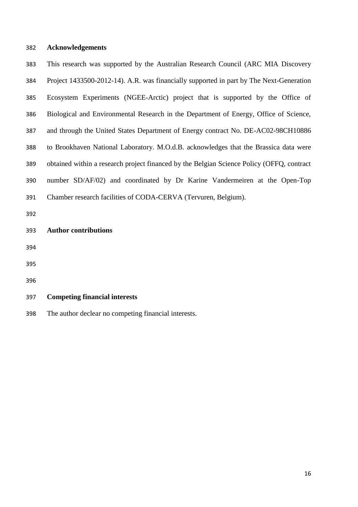### **Acknowledgements**

| 383 | This research was supported by the Australian Research Council (ARC MIA Discovery         |
|-----|-------------------------------------------------------------------------------------------|
| 384 | Project 1433500-2012-14). A.R. was financially supported in part by The Next-Generation   |
| 385 | Ecosystem Experiments (NGEE-Arctic) project that is supported by the Office of            |
| 386 | Biological and Environmental Research in the Department of Energy, Office of Science,     |
| 387 | and through the United States Department of Energy contract No. DE-AC02-98CH10886         |
| 388 | to Brookhaven National Laboratory. M.O.d.B. acknowledges that the Brassica data were      |
| 389 | obtained within a research project financed by the Belgian Science Policy (OFFQ, contract |
| 390 | number SD/AF/02) and coordinated by Dr Karine Vandermeiren at the Open-Top                |
| 391 | Chamber research facilities of CODA-CERVA (Tervuren, Belgium).                            |
| 392 |                                                                                           |
| 393 | <b>Author contributions</b>                                                               |
| 394 |                                                                                           |
| 395 |                                                                                           |
| 396 |                                                                                           |
| 397 | <b>Competing financial interests</b>                                                      |

The author declear no competing financial interests.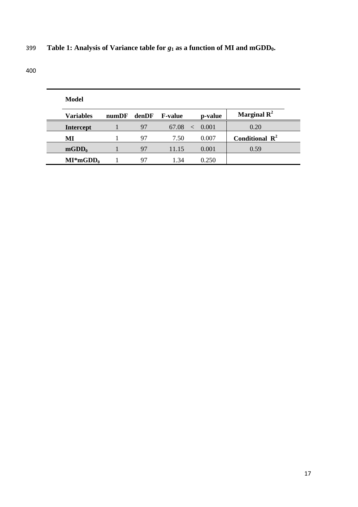## 399 **Table 1: Analysis of Variance table for** *g***<sup>1</sup> as a function of MI and mGDD0.**

|    | Model            |       |       |                |         |                            |
|----|------------------|-------|-------|----------------|---------|----------------------------|
|    | <b>Variables</b> | numDF | denDF | <b>F-value</b> | p-value | Marginal $\mathbf{R}^2$    |
|    | <b>Intercept</b> |       | 97    | 67.08<br>$\lt$ | 0.001   | 0.20                       |
| МI |                  |       | 97    | 7.50           | 0.007   | Conditional $\mathbb{R}^2$ |
|    | $mGDD_0$         |       | 97    | 11.15          | 0.001   | 0.59                       |
|    | $MI^*mGDD_0$     |       | 97    | 1 34           | 0.250   |                            |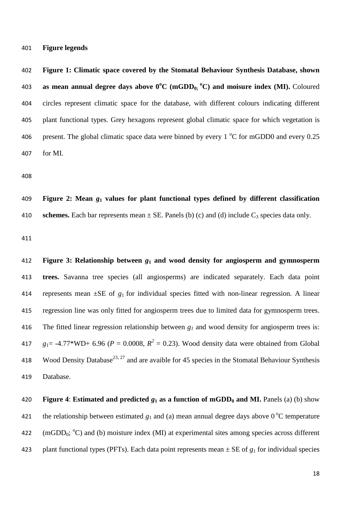**Figure legends**

 **Figure 1: Climatic space covered by the Stomatal Behaviour Synthesis Database, shown as mean annual degree days above 0<sup>o</sup>C (mGDD0; o C) and moisure index (MI).** Coloured circles represent climatic space for the database, with different colours indicating different plant functional types. Grey hexagons represent global climatic space for which vegetation is 406 present. The global climatic space data were binned by every  $1^{\circ}$ C for mGDD0 and every 0.25 for MI.

 **Figure 2: Mean** *g***<sup>1</sup> values for plant functional types defined by different classification**  410 **schemes.** Each bar represents mean  $\pm$  SE. Panels (b) (c) and (d) include  $C_3$  species data only.

 **Figure 3: Relationship between** *g***<sup>1</sup> and wood density for angiosperm and gymnosperm trees.** Savanna tree species (all angiosperms) are indicated separately. Each data point 414 represents mean  $\pm$ SE of  $g_1$  for individual species fitted with non-linear regression. A linear regression line was only fitted for angiosperm trees due to limited data for gymnosperm trees. The fitted linear regression relationship between *g<sup>1</sup>* and wood density for angiosperm trees is:  $g_1 = -4.77*WD + 6.96$  ( $P = 0.0008$ ,  $R^2 = 0.23$ ). Wood density data were obtained from Global 418 Wood Density Database<sup>[23,](#page-14-11) [27](#page-15-2)</sup> and are avaible for 45 species in the Stomatal Behaviour Synthesis Database.

# 420 **Figure 4: Estimated and predicted**  $g_1$  **as a function of mGDD<sub>0</sub> and MI.** Panels (a) (b) show 421 the relationship between estimated  $g_1$  and (a) mean annual degree days above  $0^{\circ}$ C temperature 422 (mGDD<sub>0</sub>;  $^{\circ}$ C) and (b) moisture index (MI) at experimental sites among species across different 423 plant functional types (PFTs). Each data point represents mean  $\pm$  SE of  $g_1$  for individual species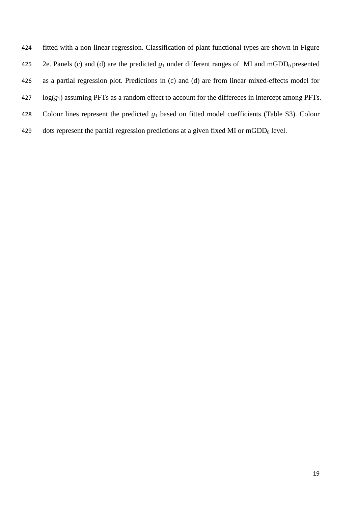fitted with a non-linear regression. Classification of plant functional types are shown in Figure 425 2e. Panels (c) and (d) are the predicted  $g_1$  under different ranges of MI and mGDD<sub>0</sub> presented as a partial regression plot. Predictions in (c) and (d) are from linear mixed-effects model for log(*g*1) assuming PFTs as a random effect to account for the differeces in intercept among PFTs. Colour lines represent the predicted *g*<sup>1</sup> based on fitted model coefficients (Table S3). Colour 429 dots represent the partial regression predictions at a given fixed MI or  $mGDD<sub>0</sub>$  level.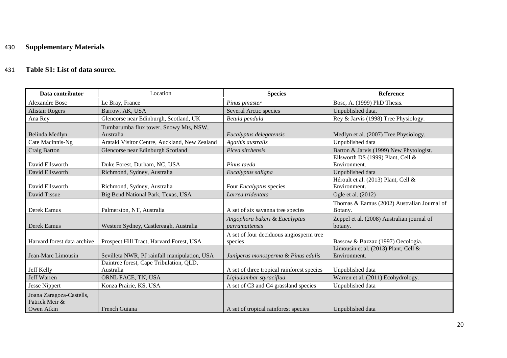### 430 **Supplementary Materials**

### 431 **Table S1: List of data source.**

| Data contributor                                         | Location                                             | <b>Species</b>                                     | Reference                                              |
|----------------------------------------------------------|------------------------------------------------------|----------------------------------------------------|--------------------------------------------------------|
| <b>Alexandre Bosc</b>                                    | Le Bray, France                                      | Pinus pinaster                                     | Bosc, A. (1999) PhD Thesis.                            |
| <b>Alistair Rogers</b>                                   | Barrow, AK, USA                                      | Several Arctic species                             | Unpublished data.                                      |
| Ana Rey                                                  | Glencorse near Edinburgh, Scotland, UK               | Betula pendula                                     | Rey & Jarvis (1998) Tree Physiology.                   |
| Belinda Medlyn                                           | Tumbarumba flux tower, Snowy Mts, NSW,<br>Australia  | Eucalyptus delegatensis                            | Medlyn et al. (2007) Tree Physiology.                  |
| Cate Macinnis-Ng                                         | Arataki Visitor Centre, Auckland, New Zealand        | Agathis australis                                  | Unpublished data                                       |
| Craig Barton                                             | Glencorse near Edinburgh Scotland                    | Picea sitchensis                                   | Barton & Jarvis (1999) New Phytologist.                |
| David Ellsworth                                          | Duke Forest, Durham, NC, USA                         | Pinus taeda                                        | Ellsworth DS (1999) Plant, Cell &<br>Environment.      |
| David Ellsworth                                          | Richmond, Sydney, Australia                          | Eucalyptus saligna                                 | Unpublished data                                       |
| David Ellsworth                                          | Richmond, Sydney, Australia                          | Four <i>Eucalyptus</i> species                     | Héroult et al. (2013) Plant, Cell &<br>Environment.    |
| David Tissue                                             | Big Bend National Park, Texas, USA                   | Larrea tridentata                                  | Ogle et al. (2012)                                     |
| Derek Eamus                                              | Palmerston, NT, Australia                            | A set of six savanna tree species                  | Thomas & Eamus (2002) Australian Journal of<br>Botany. |
| Derek Eamus                                              | Western Sydney, Castlereagh, Australia               | Angophora bakeri & Eucalyptus<br>parramattensis    | Zeppel et al. (2008) Australian journal of<br>botany.  |
| Harvard forest data archive                              | Prospect Hill Tract, Harvard Forest, USA             | A set of four deciduous angiosperm tree<br>species | Bassow & Bazzaz (1997) Oecologia.                      |
| Jean-Marc Limousin                                       | Sevilleta NWR, PJ rainfall manipulation, USA         | Juniperus monosperma & Pinus edulis                | Limousin et al. (2013) Plant, Cell &<br>Environment.   |
| Jeff Kelly                                               | Daintree forest, Cape Tribulation, QLD,<br>Australia | A set of three tropical rainforest species         | Unpublished data                                       |
| Jeff Warren                                              | ORNL FACE, TN, USA                                   | Liqiudambar styraciflua                            | Warren et al. (2011) Ecohydrology.                     |
| <b>Jesse Nippert</b>                                     | Konza Prairie, KS, USA                               | A set of C3 and C4 grassland species               | Unpublished data                                       |
| Joana Zaragoza-Castells,<br>Patrick Meir &<br>Owen Atkin | French Guiana                                        | A set of tropical rainforest species               | Unpublished data                                       |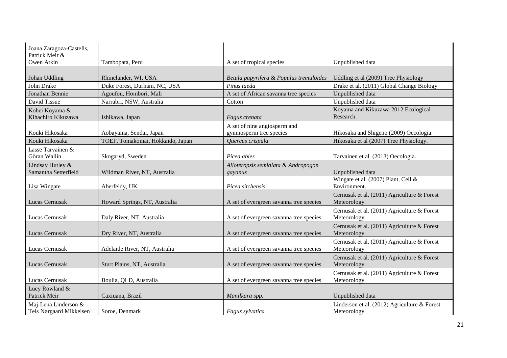| Joana Zaragoza-Castells,<br>Patrick Meir &      |                                  |                                                         |                                                               |
|-------------------------------------------------|----------------------------------|---------------------------------------------------------|---------------------------------------------------------------|
| Owen Atkin                                      | Tambopata, Peru                  | A set of tropical species                               | Unpublished data                                              |
| Johan Uddling                                   | Rhinelander, WI, USA             | Betula papyrifera & Populus tremuloides                 | Uddling et al (2009) Tree Physiology                          |
| John Drake                                      | Duke Forest, Durham, NC, USA     | Pinus taeda                                             | Drake et al. (2011) Global Change Biology                     |
| Jonathan Bennie                                 | Agoufou, Hombori, Mali           | A set of African savanna tree species                   | Unpublished data                                              |
| David Tissue                                    | Narrabri, NSW, Australia         | Cotton                                                  | Unpublished data                                              |
| Kohei Koyama &<br>Kihachiro Kikuzawa            | Ishikawa, Japan                  | Fagus crenata                                           | Koyama and Kikuzawa 2012 Ecological<br>Research.              |
| Kouki Hikosaka                                  | Aobayama, Sendai, Japan          | A set of nine angiosperm and<br>gymnosperm tree species | Hikosaka and Shigeno (2009) Oecologia.                        |
| Kouki Hikosaka                                  | TOEF, Tomakomai, Hokkaido, Japan | Quercus crispula                                        | Hikosaka et al (2007) Tree Physiology.                        |
| Lasse Tarvainen &<br>Göran Wallin               | Skogaryd, Sweden                 | Picea abies                                             | Tarvainen et al. (2013) Oecologia.                            |
| Lindsay Hutley &<br>Samantha Setterfield        | Wildman River, NT, Australia     | Alloteropsis semialata & Andropogon<br>gayanus          | Unpublished data                                              |
| Lisa Wingate                                    | Aberfeldy, UK                    | Picea sitchensis                                        | Wingate et al. (2007) Plant, Cell &<br>Environment.           |
| Lucas Cernusak                                  | Howard Springs, NT, Australia    | A set of evergreen savanna tree species                 | Cernusak et al. (2011) Agriculture & Forest<br>Meteorology.   |
| Lucas Cernusak                                  | Daly River, NT, Australia        | A set of evergreen savanna tree species                 | Cernusak et al. (2011) Agriculture & Forest<br>Meteorology.   |
| Lucas Cernusak                                  | Dry River, NT, Australia         | A set of evergreen savanna tree species                 | Cernusak et al. (2011) Agriculture & Forest<br>Meteorology.   |
| Lucas Cernusak                                  | Adelaide River, NT, Australia    | A set of evergreen savanna tree species                 | Cernusak et al. (2011) Agriculture & Forest<br>Meteorology.   |
| Lucas Cernusak                                  | Sturt Plains, NT, Australia      | A set of evergreen savanna tree species                 | Cernusak et al. (2011) Agriculture & Forest<br>Meteorology.   |
| Lucas Cernusak                                  | Boulia, QLD, Australia           | A set of evergreen savanna tree species                 | Cernusak et al. (2011) Agriculture & Forest<br>Meteorology.   |
| Lucy Rowland &<br>Patrick Meir                  | Caxiuana, Brazil                 | Manilkara spp.                                          | Unpublished data                                              |
| Maj-Lena Linderson &<br>Teis Nørgaard Mikkelsen | Soroe, Denmark                   | Fagus sylvatica                                         | Linderson et al. $(2012)$ Agriculture & Forest<br>Meteorology |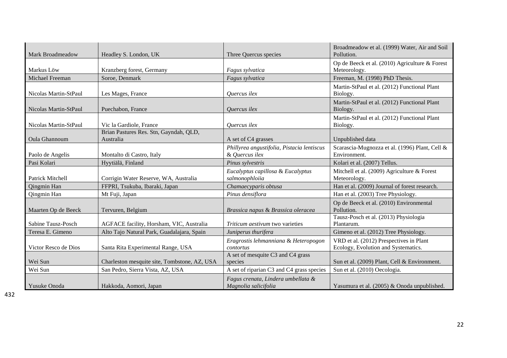| Mark Broadmeadow      | Headley S. London, UK                               | Three Quercus species                                        | Broadmeadow et al. (1999) Water, Air and Soil<br>Pollution.                    |
|-----------------------|-----------------------------------------------------|--------------------------------------------------------------|--------------------------------------------------------------------------------|
| Markus Löw            | Kranzberg forest, Germany                           | Fagus sylvatica                                              | Op de Beeck et al. (2010) Agriculture & Forest<br>Meteorology.                 |
| Michael Freeman       | Soroe, Denmark                                      | Fagus sylvatica                                              | Freeman, M. (1998) PhD Thesis.                                                 |
| Nicolas Martin-StPaul | Les Mages, France                                   | Quercus ilex                                                 | Martin-StPaul et al. (2012) Functional Plant<br>Biology.                       |
| Nicolas Martin-StPaul | Puechabon, France                                   | <i>Ouercus ilex</i>                                          | Martin-StPaul et al. (2012) Functional Plant<br>Biology.                       |
| Nicolas Martin-StPaul | Vic la Gardiole, France                             | Quercus ilex                                                 | Martin-StPaul et al. (2012) Functional Plant<br>Biology.                       |
| <b>Oula Ghannoum</b>  | Brian Pastures Res. Stn, Gayndah, QLD,<br>Australia | A set of C4 grasses                                          | Unpublished data                                                               |
| Paolo de Angelis      | Montalto di Castro, Italy                           | Phillyrea angustifolia, Pistacia lentiscus<br>& Quercus ilex | Scarascia-Mugnozza et al. (1996) Plant, Cell &<br>Environment.                 |
| Pasi Kolari           | Hyytiälä, Finland                                   | Pinus sylvestris                                             | Kolari et al. (2007) Tellus.                                                   |
| Patrick Mitchell      | Corrigin Water Reserve, WA, Australia               | Eucalyptus capillosa & Eucalyptus<br>salmonophloiia          | Mitchell et al. (2009) Agriculture & Forest<br>Meteorology.                    |
| Qingmin Han           | FFPRI, Tsukuba, Ibaraki, Japan                      | Chamaecyparis obtusa                                         | Han et al. (2009) Journal of forest research.                                  |
| Qingmin Han           | Mt Fuji, Japan                                      | Pinus densiflora                                             | Han et al. (2003) Tree Physiology.                                             |
| Maarten Op de Beeck   | Tervuren, Belgium                                   | Brassica napus & Brassica oleracea                           | Op de Beeck et al. (2010) Environmental<br>Pollution.                          |
| Sabine Tausz-Posch    | AGFACE facility, Horsham, VIC, Australia            | Triticum aestivum two varieties                              | Tausz-Posch et al. (2013) Physiologia<br>Plantarum.                            |
| Teresa E. Gimeno      | Alto Tajo Natural Park, Guadalajara, Spain          | Juniperus thurifera                                          | Gimeno et al. (2012) Tree Physiology.                                          |
| Victor Resco de Dios  | Santa Rita Experimental Range, USA                  | Eragrostis lehmanniana & Heteropogon<br>contortus            | VRD et al. (2012) Prespectives in Plant<br>Ecology, Evolution and Systematics. |
| Wei Sun               | Charleston mesquite site, Tombstone, AZ, USA        | A set of mesquite C3 and C4 grass<br>species                 | Sun et al. (2009) Plant, Cell & Environment.                                   |
| Wei Sun               | San Pedro, Sierra Vista, AZ, USA                    | A set of riparian C3 and C4 grass species                    | Sun et al. (2010) Oecologia.                                                   |
| Yusuke Onoda          | Hakkoda, Aomori, Japan                              | Fagus crenata, Lindera umbellata &<br>Magnolia salicifolia   | Yasumura et al. (2005) & Onoda unpublished.                                    |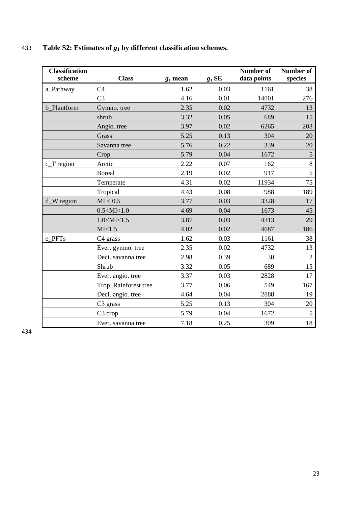| <b>Classification</b><br>scheme | <b>Class</b>          | $g_1$ mean | $g_1$ SE | Number of<br>data points | Number of<br>species |
|---------------------------------|-----------------------|------------|----------|--------------------------|----------------------|
| a_Pathway                       | C <sub>4</sub>        | 1.62       | 0.03     | 1161                     | 38                   |
|                                 | C <sub>3</sub>        | 4.16       | 0.01     | 14001                    | 276                  |
| <b>b</b> Plantform              | Gymno. tree           | 2.35       | 0.02     | 4732                     | 13                   |
|                                 | shrub                 | 3.32       | 0.05     | 689                      | 15                   |
|                                 | Angio. tree           | 3.97       | 0.02     | 6265                     | 203                  |
|                                 | Grass                 | 5.25       | 0.13     | 304                      | 20                   |
|                                 | Savanna tree          | 5.76       | 0.22     | 339                      | 20                   |
|                                 | Crop                  | 5.79       | 0.04     | 1672                     | 5                    |
| $c_T$ region                    | Arctic                | 2.22       | 0.07     | 162                      | 8                    |
|                                 | <b>Boreal</b>         | 2.19       | 0.02     | 917                      | 5                    |
|                                 | Temperate             | 4.31       | 0.02     | 11934                    | 75                   |
|                                 | Tropical              | 4.43       | 0.08     | 988                      | 189                  |
| d_W region                      | MI < 0.5              | 3.77       | 0.03     | 3328                     | 17                   |
|                                 | $0.5 <$ MI $< 1.0$    | 4.69       | 0.04     | 1673                     | 45                   |
|                                 | 1.0 < M < 1.5         | 3.87       | 0.03     | 4313                     | 29                   |
|                                 | MI<1.5                | 4.02       | 0.02     | 4687                     | 186                  |
| e_PFTs                          | C <sub>4</sub> grass  | 1.62       | 0.03     | 1161                     | 38                   |
|                                 | Ever. gymno. tree     | 2.35       | 0.02     | 4732                     | 13                   |
|                                 | Deci. savanna tree    | 2.98       | 0.39     | 30                       | $\overline{2}$       |
|                                 | Shrub                 | 3.32       | 0.05     | 689                      | 15                   |
|                                 | Ever. angio. tree     | 3.37       | 0.03     | 2828                     | 17                   |
|                                 | Trop. Rainforest tree | 3.77       | 0.06     | 549                      | 167                  |
|                                 | Deci. angio. tree     | 4.64       | 0.04     | 2888                     | 19                   |
|                                 | C <sub>3</sub> grass  | 5.25       | 0.13     | 304                      | 20                   |
|                                 | C <sub>3</sub> crop   | 5.79       | 0.04     | 1672                     | 5                    |
|                                 | Ever. savanna tree    | 7.18       | 0.25     | 309                      | 18                   |

## 433 **Table S2: Estimates of** *g***<sup>1</sup> by different classification schemes.**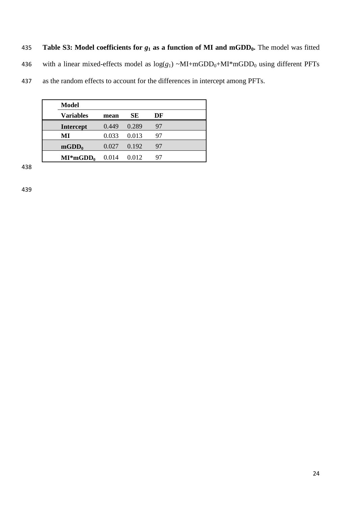435 **Table S3: Model coefficients for** *g***<sup>1</sup> as a function of MI and mGDD0.** The model was fitted

436 with a linear mixed-effects model as  $log(g_1) \sim MI + mGDD_0 + MI * mGDD_0$  using different PFTs

437 as the random effects to account for the differences in intercept among PFTs.

| <b>Model</b>     |       |       |    |
|------------------|-------|-------|----|
| <b>Variables</b> | mean  | SЕ    | DF |
| <b>Intercept</b> | 0.449 | 0.289 | 97 |
| MI               | 0.033 | 0.013 | 97 |
| $mGDD_0$         | 0.027 | 0.192 | 97 |
| $MI^*mGDD_0$     | 0.014 | 0.012 | 97 |

438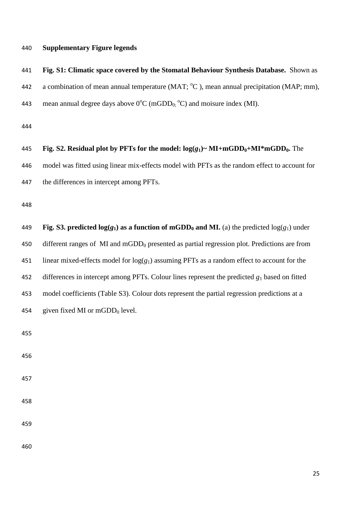#### **Supplementary Figure legends**

| 441 | Fig. S1: Climatic space covered by the Stomatal Behaviour Synthesis Database. Shown as               |
|-----|------------------------------------------------------------------------------------------------------|
| 442 | a combination of mean annual temperature (MAT; $\degree$ C), mean annual precipitation (MAP; mm),    |
| 443 | mean annual degree days above $0^{\circ}$ C (mGDD <sub>0</sub> $^{\circ}$ C) and moisure index (MI). |

| 445 | Fig. S2. Residual plot by PFTs for the model: $log(g_1)$ ~ MI+mGDD <sub>0</sub> +MI*mGDD <sub>0</sub> . The |
|-----|-------------------------------------------------------------------------------------------------------------|
| 446 | model was fitted using linear mix-effects model with PFTs as the random effect to account for               |
| 447 | the differences in intercept among PFTs.                                                                    |
| 448 |                                                                                                             |
| 449 | Fig. S3. predicted $log(g_1)$ as a function of mGDD <sub>0</sub> and MI. (a) the predicted $log(g_1)$ under |
| 450 | different ranges of $MI$ and mGDD <sub>0</sub> presented as partial regression plot. Predictions are from   |

451 linear mixed-effects model for  $log(g_1)$  assuming PFTs as a random effect to account for the differences in intercept among PFTs. Colour lines represent the predicted *g*<sup>1</sup> based on fitted model coefficients (Table S3). Colour dots represent the partial regression predictions at a 454 given fixed MI or  $mGDD<sub>0</sub>$  level.

- 
-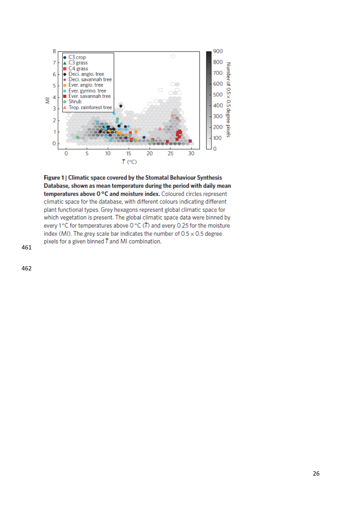

Figure 1 | Climatic space covered by the Stomatal Behaviour Synthesis Database, shown as mean temperature during the period with daily mean temperatures above 0°C and moisture index. Coloured circles represent climatic space for the database, with different colours indicating different plant functional types. Grey hexagons represent global climatic space for which vegetation is present. The global climatic space data were binned by every 1°C for temperatures above 0°C ( $\overline{D}$ ) and every 0.25 for the moisture index (MI). The grey scale bar indicates the number of  $0.5 \times 0.5$  degree pixels for a given binned  $T$  and MI combination.

461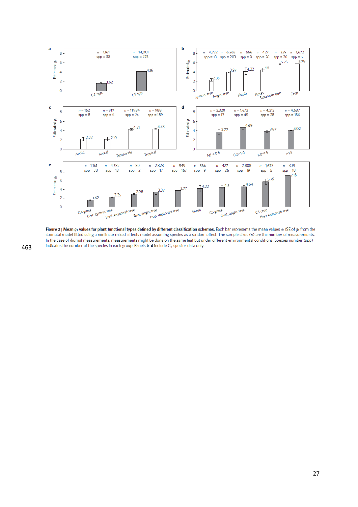

**Figure 2 | Mean**  $g_1$  **values for plant functional types defined by different classification schemes. Each bar represents the mean values**  $\pm$  **1SE of**  $g_1$  **from the stomatal model fitted using a nonlinear mixed-effects mo** In the case of diurnal measurements, measurements might be done on the same leaf but under different environmental conditions. Species number (spp) indicates the number of the species in each group. Panels **b-d** include C<sub>3</sub> species data only.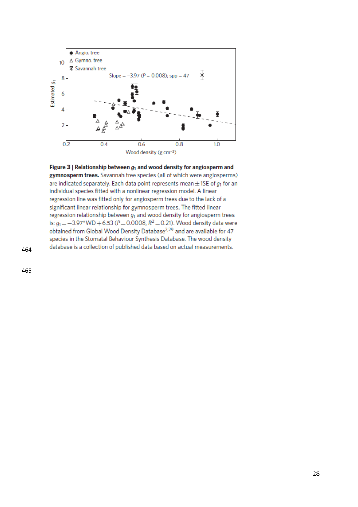

Figure 3 | Relationship between  $g_1$  and wood density for angiosperm and gymnosperm trees. Savannah tree species (all of which were angiosperms) are indicated separately. Each data point represents mean  $\pm$  1SE of  $g_1$  for an individual species fitted with a nonlinear regression model. A linear regression line was fitted only for angiosperm trees due to the lack of a significant linear relationship for gymnosperm trees. The fitted linear regression relationship between  $g_1$  and wood density for angiosperm trees is:  $g_1 = -3.97*WD + 6.53 (P = 0.0008, R^2 = 0.21)$ . Wood density data were obtained from Global Wood Density Database<sup>2,29</sup> and are available for 47 species in the Stomatal Behaviour Synthesis Database. The wood density database is a collection of published data based on actual measurements.

464